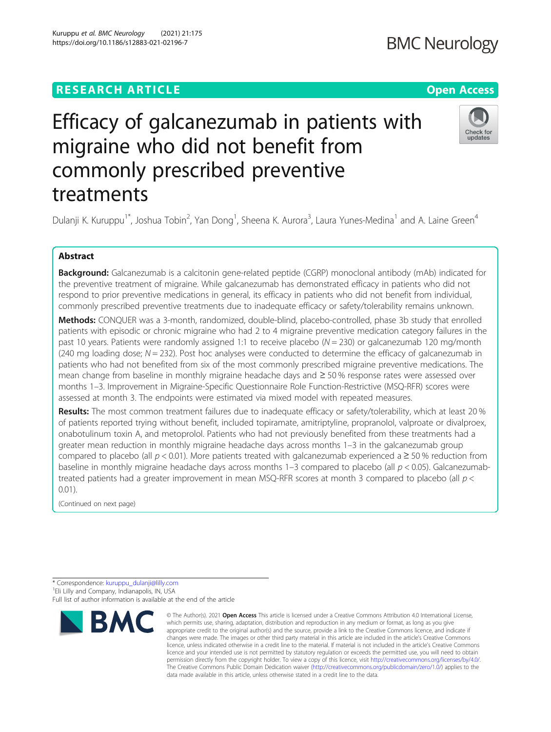### **RESEARCH ARTICLE Example 2014 12:30 The Contract of Contract ACCESS**

## Efficacy of galcanezumab in patients with migraine who did not benefit from commonly prescribed preventive treatments

Dulanji K. Kuruppu<sup>1\*</sup>, Joshua Tobin<sup>2</sup>, Yan Dong<sup>1</sup>, Sheena K. Aurora<sup>3</sup>, Laura Yunes-Medina<sup>1</sup> and A. Laine Green<sup>4</sup>

#### Abstract

Background: Galcanezumab is a calcitonin gene-related peptide (CGRP) monoclonal antibody (mAb) indicated for the preventive treatment of migraine. While galcanezumab has demonstrated efficacy in patients who did not respond to prior preventive medications in general, its efficacy in patients who did not benefit from individual, commonly prescribed preventive treatments due to inadequate efficacy or safety/tolerability remains unknown.

Methods: CONQUER was a 3-month, randomized, double-blind, placebo-controlled, phase 3b study that enrolled patients with episodic or chronic migraine who had 2 to 4 migraine preventive medication category failures in the past 10 years. Patients were randomly assigned 1:1 to receive placebo (N = 230) or galcanezumab 120 mg/month (240 mg loading dose;  $N = 232$ ). Post hoc analyses were conducted to determine the efficacy of galcanezumab in patients who had not benefited from six of the most commonly prescribed migraine preventive medications. The mean change from baseline in monthly migraine headache days and ≥ 50 % response rates were assessed over months 1–3. Improvement in Migraine-Specific Questionnaire Role Function-Restrictive (MSQ-RFR) scores were assessed at month 3. The endpoints were estimated via mixed model with repeated measures.

Results: The most common treatment failures due to inadequate efficacy or safety/tolerability, which at least 20 % of patients reported trying without benefit, included topiramate, amitriptyline, propranolol, valproate or divalproex, onabotulinum toxin A, and metoprolol. Patients who had not previously benefited from these treatments had a greater mean reduction in monthly migraine headache days across months 1–3 in the galcanezumab group compared to placebo (all  $p < 0.01$ ). More patients treated with galcanezumab experienced a  $\geq 50$  % reduction from baseline in monthly migraine headache days across months  $1-3$  compared to placebo (all  $p < 0.05$ ). Galcanezumabtreated patients had a greater improvement in mean MSQ-RFR scores at month 3 compared to placebo (all p < 0.01).

(Continued on next page)

# **BMC**





<sup>\*</sup> Correspondence: [kuruppu\\_dulanji@lilly.com](mailto:kuruppu_dulanji@lilly.com) <sup>1</sup> <sup>1</sup>Eli Lilly and Company, Indianapolis, IN, USA Full list of author information is available at the end of the article

<sup>©</sup> The Author(s), 2021 **Open Access** This article is licensed under a Creative Commons Attribution 4.0 International License, which permits use, sharing, adaptation, distribution and reproduction in any medium or format, as long as you give appropriate credit to the original author(s) and the source, provide a link to the Creative Commons licence, and indicate if changes were made. The images or other third party material in this article are included in the article's Creative Commons licence, unless indicated otherwise in a credit line to the material. If material is not included in the article's Creative Commons licence and your intended use is not permitted by statutory regulation or exceeds the permitted use, you will need to obtain permission directly from the copyright holder. To view a copy of this licence, visit [http://creativecommons.org/licenses/by/4.0/.](http://creativecommons.org/licenses/by/4.0/) The Creative Commons Public Domain Dedication waiver [\(http://creativecommons.org/publicdomain/zero/1.0/](http://creativecommons.org/publicdomain/zero/1.0/)) applies to the data made available in this article, unless otherwise stated in a credit line to the data.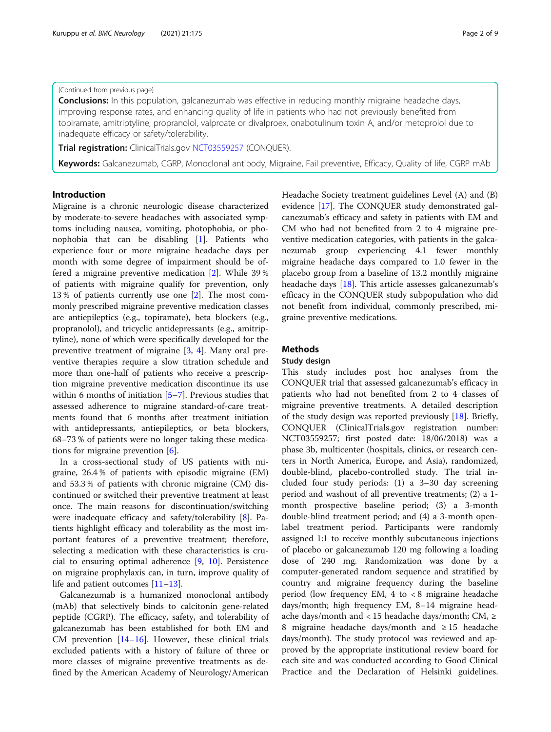#### (Continued from previous page)

**Conclusions:** In this population, galcanezumab was effective in reducing monthly migraine headache days, improving response rates, and enhancing quality of life in patients who had not previously benefited from topiramate, amitriptyline, propranolol, valproate or divalproex, onabotulinum toxin A, and/or metoprolol due to inadequate efficacy or safety/tolerability.

**Trial registration:** ClinicalTrials.gov [NCT03559257](https://clinicaltrials.gov/ct2/show/NCT03559257) (CONQUER).

Keywords: Galcanezumab, CGRP, Monoclonal antibody, Migraine, Fail preventive, Efficacy, Quality of life, CGRP mAb

#### Introduction

Migraine is a chronic neurologic disease characterized by moderate-to-severe headaches with associated symptoms including nausea, vomiting, photophobia, or phonophobia that can be disabling [\[1](#page-8-0)]. Patients who experience four or more migraine headache days per month with some degree of impairment should be offered a migraine preventive medication [[2\]](#page-8-0). While 39 % of patients with migraine qualify for prevention, only 13 % of patients currently use one [[2\]](#page-8-0). The most commonly prescribed migraine preventive medication classes are antiepileptics (e.g., topiramate), beta blockers (e.g., propranolol), and tricyclic antidepressants (e.g., amitriptyline), none of which were specifically developed for the preventive treatment of migraine [[3,](#page-8-0) [4\]](#page-8-0). Many oral preventive therapies require a slow titration schedule and more than one-half of patients who receive a prescription migraine preventive medication discontinue its use within 6 months of initiation [\[5](#page-8-0)–[7](#page-8-0)]. Previous studies that assessed adherence to migraine standard-of-care treatments found that 6 months after treatment initiation with antidepressants, antiepileptics, or beta blockers, 68–73 % of patients were no longer taking these medications for migraine prevention [\[6\]](#page-8-0).

In a cross-sectional study of US patients with migraine, 26.4 % of patients with episodic migraine (EM) and 53.3 % of patients with chronic migraine (CM) discontinued or switched their preventive treatment at least once. The main reasons for discontinuation/switching were inadequate efficacy and safety/tolerability [\[8](#page-8-0)]. Patients highlight efficacy and tolerability as the most important features of a preventive treatment; therefore, selecting a medication with these characteristics is crucial to ensuring optimal adherence [[9](#page-8-0), [10](#page-8-0)]. Persistence on migraine prophylaxis can, in turn, improve quality of life and patient outcomes [[11](#page-8-0)–[13](#page-8-0)].

Galcanezumab is a humanized monoclonal antibody (mAb) that selectively binds to calcitonin gene-related peptide (CGRP). The efficacy, safety, and tolerability of galcanezumab has been established for both EM and CM prevention [[14](#page-8-0)–[16\]](#page-8-0). However, these clinical trials excluded patients with a history of failure of three or more classes of migraine preventive treatments as defined by the American Academy of Neurology/American Headache Society treatment guidelines Level (A) and (B) evidence [[17\]](#page-8-0). The CONQUER study demonstrated galcanezumab's efficacy and safety in patients with EM and CM who had not benefited from 2 to 4 migraine preventive medication categories, with patients in the galcanezumab group experiencing 4.1 fewer monthly migraine headache days compared to 1.0 fewer in the placebo group from a baseline of 13.2 monthly migraine headache days [[18](#page-8-0)]. This article assesses galcanezumab's efficacy in the CONQUER study subpopulation who did not benefit from individual, commonly prescribed, migraine preventive medications.

#### Methods

#### Study design

This study includes post hoc analyses from the CONQUER trial that assessed galcanezumab's efficacy in patients who had not benefited from 2 to 4 classes of migraine preventive treatments. A detailed description of the study design was reported previously  $[18]$  $[18]$  $[18]$ . Briefly, CONQUER (ClinicalTrials.gov registration number: NCT03559257; first posted date: 18/06/2018) was a phase 3b, multicenter (hospitals, clinics, or research centers in North America, Europe, and Asia), randomized, double-blind, placebo-controlled study. The trial included four study periods: (1) a 3–30 day screening period and washout of all preventive treatments; (2) a 1 month prospective baseline period; (3) a 3-month double-blind treatment period; and (4) a 3-month openlabel treatment period. Participants were randomly assigned 1:1 to receive monthly subcutaneous injections of placebo or galcanezumab 120 mg following a loading dose of 240 mg. Randomization was done by a computer-generated random sequence and stratified by country and migraine frequency during the baseline period (low frequency EM, 4 to < 8 migraine headache days/month; high frequency EM, 8–14 migraine headache days/month and < 15 headache days/month; CM,  $\geq$ 8 migraine headache days/month and ≥ 15 headache days/month). The study protocol was reviewed and approved by the appropriate institutional review board for each site and was conducted according to Good Clinical Practice and the Declaration of Helsinki guidelines.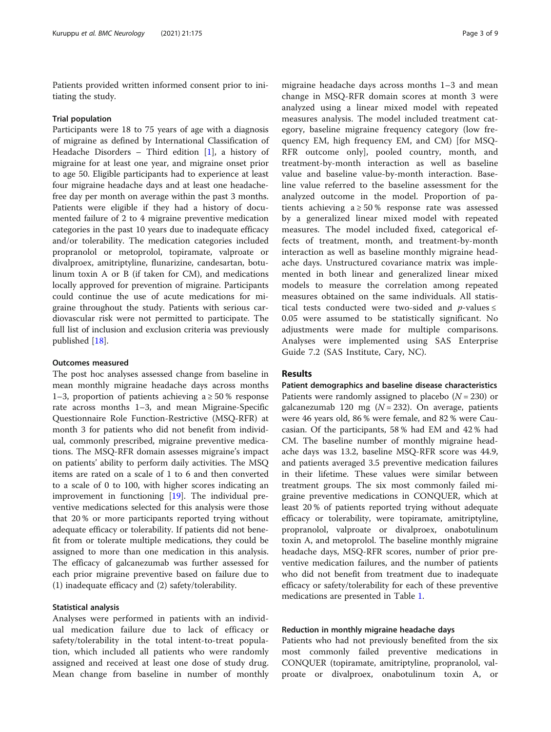Patients provided written informed consent prior to initiating the study.

#### Trial population

Participants were 18 to 75 years of age with a diagnosis of migraine as defined by International Classification of Headache Disorders – Third edition [[1\]](#page-8-0), a history of migraine for at least one year, and migraine onset prior to age 50. Eligible participants had to experience at least four migraine headache days and at least one headachefree day per month on average within the past 3 months. Patients were eligible if they had a history of documented failure of 2 to 4 migraine preventive medication categories in the past 10 years due to inadequate efficacy and/or tolerability. The medication categories included propranolol or metoprolol, topiramate, valproate or divalproex, amitriptyline, flunarizine, candesartan, botulinum toxin A or B (if taken for CM), and medications locally approved for prevention of migraine. Participants could continue the use of acute medications for migraine throughout the study. Patients with serious cardiovascular risk were not permitted to participate. The full list of inclusion and exclusion criteria was previously published [\[18](#page-8-0)].

#### Outcomes measured

The post hoc analyses assessed change from baseline in mean monthly migraine headache days across months 1–3, proportion of patients achieving  $a \ge 50\%$  response rate across months 1–3, and mean Migraine-Specific Questionnaire Role Function-Restrictive (MSQ-RFR) at month 3 for patients who did not benefit from individual, commonly prescribed, migraine preventive medications. The MSQ-RFR domain assesses migraine's impact on patients' ability to perform daily activities. The MSQ items are rated on a scale of 1 to 6 and then converted to a scale of 0 to 100, with higher scores indicating an improvement in functioning [[19\]](#page-8-0). The individual preventive medications selected for this analysis were those that 20 % or more participants reported trying without adequate efficacy or tolerability. If patients did not benefit from or tolerate multiple medications, they could be assigned to more than one medication in this analysis. The efficacy of galcanezumab was further assessed for each prior migraine preventive based on failure due to (1) inadequate efficacy and (2) safety/tolerability.

#### Statistical analysis

Analyses were performed in patients with an individual medication failure due to lack of efficacy or safety/tolerability in the total intent-to-treat population, which included all patients who were randomly assigned and received at least one dose of study drug. Mean change from baseline in number of monthly

migraine headache days across months 1–3 and mean change in MSQ-RFR domain scores at month 3 were analyzed using a linear mixed model with repeated measures analysis. The model included treatment category, baseline migraine frequency category (low frequency EM, high frequency EM, and CM) [for MSQ-RFR outcome only], pooled country, month, and treatment-by-month interaction as well as baseline value and baseline value-by-month interaction. Baseline value referred to the baseline assessment for the analyzed outcome in the model. Proportion of patients achieving  $a \ge 50\%$  response rate was assessed by a generalized linear mixed model with repeated measures. The model included fixed, categorical effects of treatment, month, and treatment-by-month interaction as well as baseline monthly migraine headache days. Unstructured covariance matrix was implemented in both linear and generalized linear mixed models to measure the correlation among repeated measures obtained on the same individuals. All statistical tests conducted were two-sided and  $p$ -values  $\le$ 0.05 were assumed to be statistically significant. No adjustments were made for multiple comparisons. Analyses were implemented using SAS Enterprise Guide 7.2 (SAS Institute, Cary, NC).

#### Results

Patient demographics and baseline disease characteristics Patients were randomly assigned to placebo  $(N = 230)$  or galcanezumab 120 mg ( $N = 232$ ). On average, patients were 46 years old, 86 % were female, and 82 % were Caucasian. Of the participants, 58 % had EM and 42 % had CM. The baseline number of monthly migraine headache days was 13.2, baseline MSQ-RFR score was 44.9, and patients averaged 3.5 preventive medication failures in their lifetime. These values were similar between treatment groups. The six most commonly failed migraine preventive medications in CONQUER, which at least 20 % of patients reported trying without adequate efficacy or tolerability, were topiramate, amitriptyline, propranolol, valproate or divalproex, onabotulinum toxin A, and metoprolol. The baseline monthly migraine headache days, MSQ-RFR scores, number of prior preventive medication failures, and the number of patients who did not benefit from treatment due to inadequate efficacy or safety/tolerability for each of these preventive medications are presented in Table [1.](#page-3-0)

#### Reduction in monthly migraine headache days

Patients who had not previously benefited from the six most commonly failed preventive medications in CONQUER (topiramate, amitriptyline, propranolol, valproate or divalproex, onabotulinum toxin A, or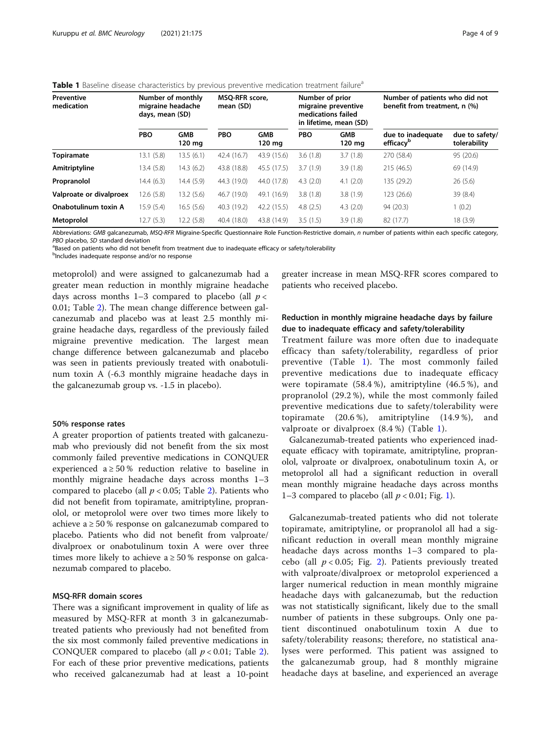| Preventive<br>medication | Number of monthly<br>migraine headache<br>days, mean (SD) |                                | <b>MSO-RFR</b> score,<br>mean (SD) |                      | Number of prior<br>migraine preventive<br>medications failed<br>in lifetime, mean (SD) |                      | Number of patients who did not<br>benefit from treatment, n (%) |                                |
|--------------------------|-----------------------------------------------------------|--------------------------------|------------------------------------|----------------------|----------------------------------------------------------------------------------------|----------------------|-----------------------------------------------------------------|--------------------------------|
|                          | <b>PBO</b>                                                | <b>GMB</b><br>$120 \text{ mg}$ | <b>PBO</b>                         | <b>GMB</b><br>120 mg | <b>PBO</b>                                                                             | <b>GMB</b><br>120 mg | due to inadequate<br>efficacy <sup>p</sup>                      | due to safety/<br>tolerability |
| <b>Topiramate</b>        | 13.1(5.8)                                                 | 13.5 (6.1)                     | 42.4 (16.7)                        | 43.9 (15.6)          | 3.6(1.8)                                                                               | 3.7(1.8)             | 270 (58.4)                                                      | 95 (20.6)                      |
| Amitriptyline            | 13.4 (5.8)                                                | 14.3(6.2)                      | 43.8 (18.8)                        | 45.5 (17.5)          | 3.7(1.9)                                                                               | 3.9(1.8)             | 215 (46.5)                                                      | 69 (14.9)                      |
| Propranolol              | 14.4 (6.3)                                                | 14.4 (5.9)                     | 44.3 (19.0)                        | 44.0 (17.8)          | 4.3(2.0)                                                                               | 4.1(2.0)             | 135 (29.2)                                                      | 26(5.6)                        |
| Valproate or divalproex  | 12.6(5.8)                                                 | 13.2 (5.6)                     | 46.7 (19.0)                        | 49.1 (16.9)          | 3.8(1.8)                                                                               | 3.8(1.9)             | 123 (26.6)                                                      | 39 (8.4)                       |
| Onabotulinum toxin A     | 15.9(5.4)                                                 | 16.5(5.6)                      | 40.3 (19.2)                        | 42.2 (15.5)          | 4.8(2.5)                                                                               | 4.3(2.0)             | 94 (20.3)                                                       | (0.2)                          |
| Metoprolol               | 12.7(5.3)                                                 | 12.2 (5.8)                     | 40.4 (18.0)                        | 43.8 (14.9)          | 3.5(1.5)                                                                               | 3.9(1.8)             | 82 (17.7)                                                       | 18 (3.9)                       |

<span id="page-3-0"></span>

Abbreviations: GMB galcanezumab, MSQ-RFR Migraine-Specific Questionnaire Role Function-Restrictive domain, n number of patients within each specific category, PBO placebo, SD standard deviation

<sup>a</sup>Based on patients who did not benefit from treatment due to inadequate efficacy or safety/tolerability

<sup>b</sup>Includes inadequate response and/or no response

metoprolol) and were assigned to galcanezumab had a greater mean reduction in monthly migraine headache days across months 1–3 compared to placebo (all  $p <$ 0.01; Table [2\)](#page-4-0). The mean change difference between galcanezumab and placebo was at least 2.5 monthly migraine headache days, regardless of the previously failed migraine preventive medication. The largest mean change difference between galcanezumab and placebo was seen in patients previously treated with onabotulinum toxin A (-6.3 monthly migraine headache days in the galcanezumab group vs. -1.5 in placebo).

#### 50% response rates

A greater proportion of patients treated with galcanezumab who previously did not benefit from the six most commonly failed preventive medications in CONQUER experienced a  $\geq 50\%$  reduction relative to baseline in monthly migraine headache days across months 1–3 compared to placebo (all  $p < 0.05$ ; Table [2](#page-4-0)). Patients who did not benefit from topiramate, amitriptyline, propranolol, or metoprolol were over two times more likely to achieve a  $\geq 50$  % response on galcanezumab compared to placebo. Patients who did not benefit from valproate/ divalproex or onabotulinum toxin A were over three times more likely to achieve  $a \ge 50\%$  response on galcanezumab compared to placebo.

#### MSQ-RFR domain scores

There was a significant improvement in quality of life as measured by MSQ-RFR at month 3 in galcanezumabtreated patients who previously had not benefited from the six most commonly failed preventive medications in CONQUER compared to placebo (all  $p < 0.01$ ; Table [2](#page-4-0)). For each of these prior preventive medications, patients who received galcanezumab had at least a 10-point greater increase in mean MSQ-RFR scores compared to patients who received placebo.

#### Reduction in monthly migraine headache days by failure due to inadequate efficacy and safety/tolerability

Treatment failure was more often due to inadequate efficacy than safety/tolerability, regardless of prior preventive (Table 1). The most commonly failed preventive medications due to inadequate efficacy were topiramate (58.4 %), amitriptyline (46.5 %), and propranolol (29.2 %), while the most commonly failed preventive medications due to safety/tolerability were topiramate (20.6 %), amitriptyline (14.9 %), and valproate or divalproex (8.4 %) (Table 1).

Galcanezumab-treated patients who experienced inadequate efficacy with topiramate, amitriptyline, propranolol, valproate or divalproex, onabotulinum toxin A, or metoprolol all had a significant reduction in overall mean monthly migraine headache days across months 1–3 compared to placebo (all  $p < 0.01$ ; Fig. [1\)](#page-5-0).

Galcanezumab-treated patients who did not tolerate topiramate, amitriptyline, or propranolol all had a significant reduction in overall mean monthly migraine headache days across months 1–3 compared to placebo (all  $p < 0.05$ ; Fig. [2](#page-6-0)). Patients previously treated with valproate/divalproex or metoprolol experienced a larger numerical reduction in mean monthly migraine headache days with galcanezumab, but the reduction was not statistically significant, likely due to the small number of patients in these subgroups. Only one patient discontinued onabotulinum toxin A due to safety/tolerability reasons; therefore, no statistical analyses were performed. This patient was assigned to the galcanezumab group, had 8 monthly migraine headache days at baseline, and experienced an average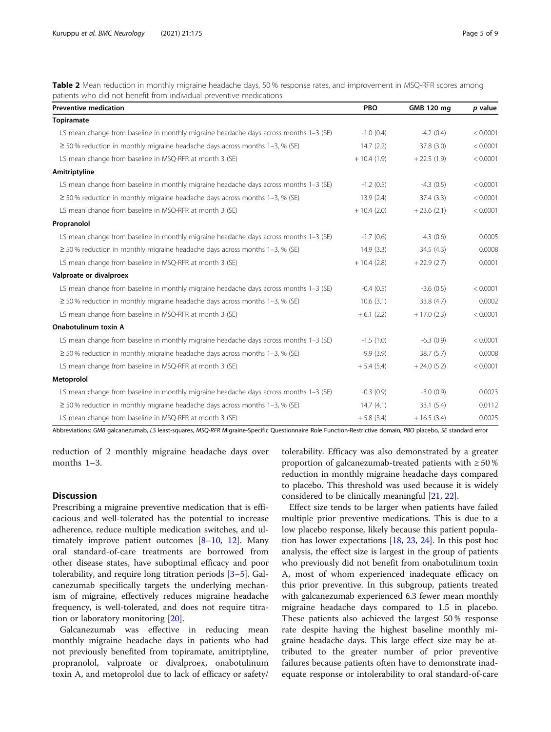<span id="page-4-0"></span>Table 2 Mean reduction in monthly migraine headache days, 50 % response rates, and improvement in MSQ-RFR scores among patients who did not benefit from individual preventive medications

| <b>Preventive medication</b>                                                          | <b>PBO</b>    | GMB 120 mg   | p value  |
|---------------------------------------------------------------------------------------|---------------|--------------|----------|
| Topiramate                                                                            |               |              |          |
| LS mean change from baseline in monthly migraine headache days across months 1-3 (SE) | $-1.0(0.4)$   | $-4.2(0.4)$  | < 0.0001 |
| $\geq$ 50% reduction in monthly migraine headache days across months 1-3, % (SE)      | 14.7(2.2)     | 37.8 (3.0)   | < 0.0001 |
| LS mean change from baseline in MSQ-RFR at month 3 (SE)                               | $+10.4(1.9)$  | $+22.5(1.9)$ | < 0.0001 |
| Amitriptyline                                                                         |               |              |          |
| LS mean change from baseline in monthly migraine headache days across months 1-3 (SE) | $-1.2(0.5)$   | $-4.3(0.5)$  | < 0.0001 |
| $\geq$ 50% reduction in monthly migraine headache days across months 1-3, % (SE)      | 13.9(2.4)     | 37.4 (3.3)   | < 0.0001 |
| LS mean change from baseline in MSQ-RFR at month 3 (SE)                               | $+10.4(2.0)$  | $+23.6(2.1)$ | < 0.0001 |
| Propranolol                                                                           |               |              |          |
| LS mean change from baseline in monthly migraine headache days across months 1-3 (SE) | $-1.7(0.6)$   | $-4.3(0.6)$  | 0.0005   |
| $\geq$ 50% reduction in monthly migraine headache days across months 1-3, % (SE)      | 14.9(3.3)     | 34.5(4.3)    | 0.0008   |
| LS mean change from baseline in MSQ-RFR at month 3 (SE)                               | $+10.4(2.8)$  | $+22.9(2.7)$ | 0.0001   |
| Valproate or divalproex                                                               |               |              |          |
| LS mean change from baseline in monthly migraine headache days across months 1-3 (SE) | $-0.4(0.5)$   | $-3.6(0.5)$  | < 0.0001 |
| $\geq$ 50% reduction in monthly migraine headache days across months 1-3, % (SE)      | 10.6(3.1)     | 33.8 (4.7)   | 0.0002   |
| LS mean change from baseline in MSQ-RFR at month 3 (SE)                               | $+6.1(2.2)$   | $+17.0(2.3)$ | < 0.0001 |
| Onabotulinum toxin A                                                                  |               |              |          |
| LS mean change from baseline in monthly migraine headache days across months 1-3 (SE) | $-1.5(1.0)$   | $-6.3(0.9)$  | < 0.0001 |
| $\geq$ 50% reduction in monthly migraine headache days across months 1-3, % (SE)      | 9.9(3.9)      | 38.7(5.7)    | 0.0008   |
| LS mean change from baseline in MSQ-RFR at month 3 (SE)                               | $+ 5.4 (5.4)$ | $+24.0(5.2)$ | < 0.0001 |
| Metoprolol                                                                            |               |              |          |
| LS mean change from baseline in monthly migraine headache days across months 1-3 (SE) | $-0.3(0.9)$   | $-3.0(0.9)$  | 0.0023   |
| $\geq$ 50% reduction in monthly migraine headache days across months 1-3, % (SE)      | 14.7(4.1)     | 33.1(5.4)    | 0.0112   |
| LS mean change from baseline in MSQ-RFR at month 3 (SE)                               | $+5.8(3.4)$   | $+16.5(3.4)$ | 0.0025   |

Abbreviations: GMB galcanezumab, LS least-squares, MSQ-RFR Migraine-Specific Questionnaire Role Function-Restrictive domain, PBO placebo, SE standard error

reduction of 2 monthly migraine headache days over months 1–3.

#### **Discussion**

Prescribing a migraine preventive medication that is efficacious and well-tolerated has the potential to increase adherence, reduce multiple medication switches, and ultimately improve patient outcomes [[8](#page-8-0)–[10](#page-8-0), [12](#page-8-0)]. Many oral standard-of-care treatments are borrowed from other disease states, have suboptimal efficacy and poor tolerability, and require long titration periods [[3](#page-8-0)–[5](#page-8-0)]. Galcanezumab specifically targets the underlying mechanism of migraine, effectively reduces migraine headache frequency, is well-tolerated, and does not require titration or laboratory monitoring [\[20](#page-8-0)].

Galcanezumab was effective in reducing mean monthly migraine headache days in patients who had not previously benefited from topiramate, amitriptyline, propranolol, valproate or divalproex, onabotulinum toxin A, and metoprolol due to lack of efficacy or safety/ tolerability. Efficacy was also demonstrated by a greater proportion of galcanezumab-treated patients with  $\geq 50\%$ reduction in monthly migraine headache days compared to placebo. This threshold was used because it is widely considered to be clinically meaningful [\[21,](#page-8-0) [22\]](#page-8-0).

Effect size tends to be larger when patients have failed multiple prior preventive medications. This is due to a low placebo response, likely because this patient population has lower expectations [\[18](#page-8-0), [23](#page-8-0), [24](#page-8-0)]. In this post hoc analysis, the effect size is largest in the group of patients who previously did not benefit from onabotulinum toxin A, most of whom experienced inadequate efficacy on this prior preventive. In this subgroup, patients treated with galcanezumab experienced 6.3 fewer mean monthly migraine headache days compared to 1.5 in placebo. These patients also achieved the largest 50 % response rate despite having the highest baseline monthly migraine headache days. This large effect size may be attributed to the greater number of prior preventive failures because patients often have to demonstrate inadequate response or intolerability to oral standard-of-care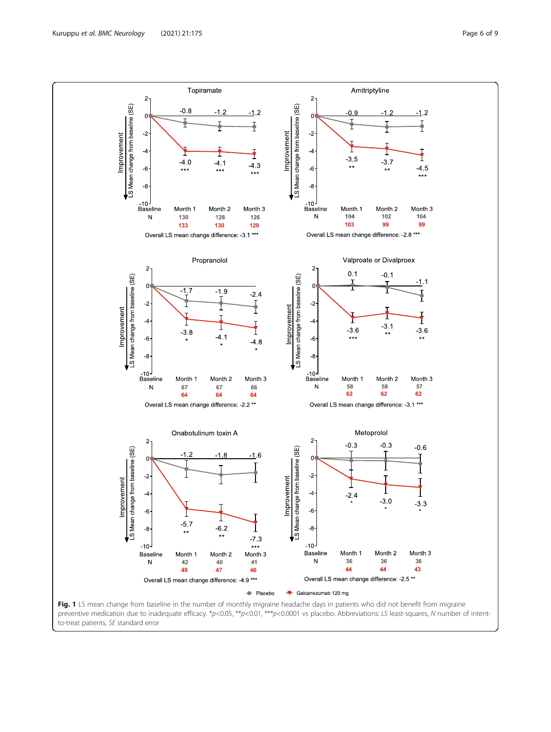<span id="page-5-0"></span>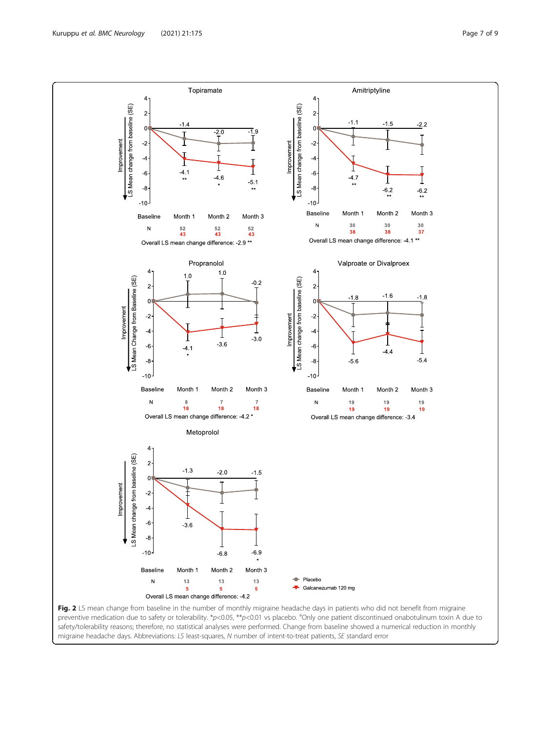<span id="page-6-0"></span>

migraine headache days. Abbreviations: LS least-squares, N number of intent-to-treat patients, SE standard error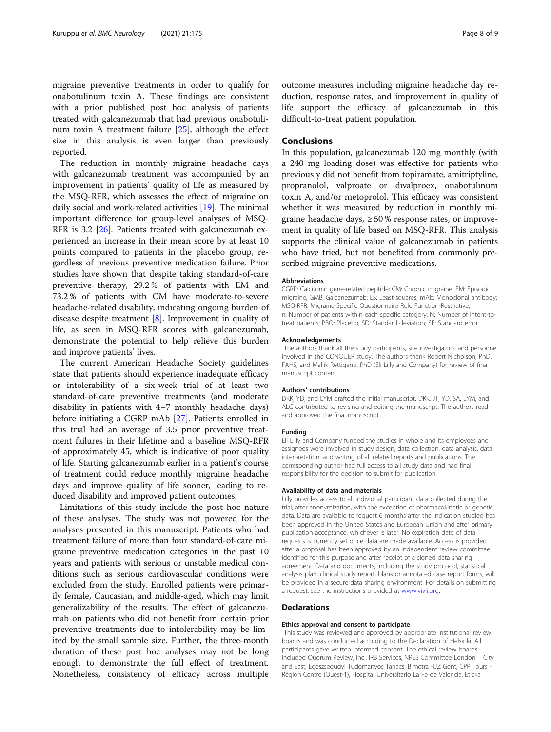migraine preventive treatments in order to qualify for onabotulinum toxin A. These findings are consistent with a prior published post hoc analysis of patients treated with galcanezumab that had previous onabotulinum toxin A treatment failure [[25](#page-8-0)], although the effect size in this analysis is even larger than previously reported.

The reduction in monthly migraine headache days with galcanezumab treatment was accompanied by an improvement in patients' quality of life as measured by the MSQ-RFR, which assesses the effect of migraine on daily social and work-related activities [\[19](#page-8-0)]. The minimal important difference for group-level analyses of MSQ-RFR is 3.2 [[26\]](#page-8-0). Patients treated with galcanezumab experienced an increase in their mean score by at least 10 points compared to patients in the placebo group, regardless of previous preventive medication failure. Prior studies have shown that despite taking standard-of-care preventive therapy, 29.2 % of patients with EM and 73.2 % of patients with CM have moderate-to-severe headache-related disability, indicating ongoing burden of disease despite treatment [\[8](#page-8-0)]. Improvement in quality of life, as seen in MSQ-RFR scores with galcanezumab, demonstrate the potential to help relieve this burden and improve patients' lives.

The current American Headache Society guidelines state that patients should experience inadequate efficacy or intolerability of a six-week trial of at least two standard-of-care preventive treatments (and moderate disability in patients with 4–7 monthly headache days) before initiating a CGRP mAb [[27](#page-8-0)]. Patients enrolled in this trial had an average of 3.5 prior preventive treatment failures in their lifetime and a baseline MSQ-RFR of approximately 45, which is indicative of poor quality of life. Starting galcanezumab earlier in a patient's course of treatment could reduce monthly migraine headache days and improve quality of life sooner, leading to reduced disability and improved patient outcomes.

Limitations of this study include the post hoc nature of these analyses. The study was not powered for the analyses presented in this manuscript. Patients who had treatment failure of more than four standard-of-care migraine preventive medication categories in the past 10 years and patients with serious or unstable medical conditions such as serious cardiovascular conditions were excluded from the study. Enrolled patients were primarily female, Caucasian, and middle-aged, which may limit generalizability of the results. The effect of galcanezumab on patients who did not benefit from certain prior preventive treatments due to intolerability may be limited by the small sample size. Further, the three-month duration of these post hoc analyses may not be long enough to demonstrate the full effect of treatment. Nonetheless, consistency of efficacy across multiple

outcome measures including migraine headache day reduction, response rates, and improvement in quality of life support the efficacy of galcanezumab in this difficult-to-treat patient population.

#### **Conclusions**

In this population, galcanezumab 120 mg monthly (with a 240 mg loading dose) was effective for patients who previously did not benefit from topiramate, amitriptyline, propranolol, valproate or divalproex, onabotulinum toxin A, and/or metoprolol. This efficacy was consistent whether it was measured by reduction in monthly migraine headache days,  $\geq 50\%$  response rates, or improvement in quality of life based on MSQ-RFR. This analysis supports the clinical value of galcanezumab in patients who have tried, but not benefited from commonly prescribed migraine preventive medications.

#### Abbreviations

CGRP: Calcitonin gene-related peptide; CM: Chronic migraine; EM: Episodic migraine; GMB: Galcanezumab; LS: Least-squares; mAb: Monoclonal antibody; MSQ-RFR: Migraine-Specific Questionnaire Role Function-Restrictive; n: Number of patients within each specific category; N: Number of intent-totreat patients; PBO: Placebo; SD: Standard deviation; SE: Standard error

#### Acknowledgements

The authors thank all the study participants, site investigators, and personnel involved in the CONQUER study. The authors thank Robert Nicholson, PhD, FAHS, and Mallik Rettiganti, PhD (Eli Lilly and Company) for review of final manuscript content.

#### Authors' contributions

DKK, YD, and LYM drafted the initial manuscript. DKK, JT, YD, SA, LYM, and ALG contributed to revising and editing the manuscript. The authors read and approved the final manuscript.

#### Funding

Eli Lilly and Company funded the studies in whole and its employees and assignees were involved in study design, data collection, data analysis, data interpretation, and writing of all related reports and publications. The corresponding author had full access to all study data and had final responsibility for the decision to submit for publication.

#### Availability of data and materials

Lilly provides access to all individual participant data collected during the trial, after anonymization, with the exception of pharmacokinetic or genetic data. Data are available to request 6 months after the indication studied has been approved in the United States and European Union and after primary publication acceptance, whichever is later. No expiration date of data requests is currently set once data are made available. Access is provided after a proposal has been approved by an independent review committee identified for this purpose and after receipt of a signed data sharing agreement. Data and documents, including the study protocol, statistical analysis plan, clinical study report, blank or annotated case report forms, will be provided in a secure data sharing environment. For details on submitting a request, see the instructions provided at [www.vivli.org.](http://www.vivli.org)

#### Declarations

#### Ethics approval and consent to participate

This study was reviewed and approved by appropriate institutional review boards and was conducted according to the Declaration of Helsinki. All participants gave written informed consent. The ethical review boards included Quorum Review, Inc., IRB Services, NRES Committee London – City and East, Egeszsegugyi Tudomanyos Tanacs, Bimetra -UZ Gent, CPP Tours - Région Centre (Ouest-1), Hospital Universitario La Fe de Valencia, Eticka